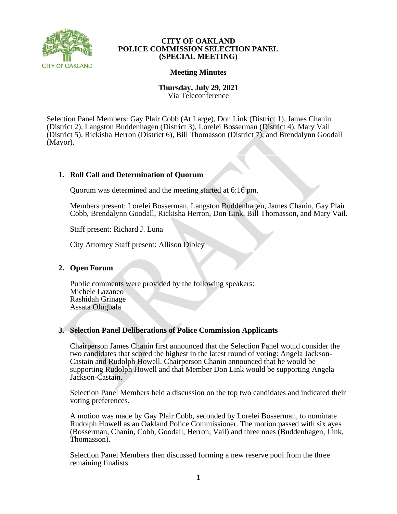

## **CITY OF OAKLAND POLICE COMMISSION SELECTION PANEL (SPECIAL MEETING)**

## **Meeting Minutes**

**Thursday, July 29, 2021** Via Teleconference

Selection Panel Members: Gay Plair Cobb (At Large), Don Link (District 1), James Chanin (District 2), Langston Buddenhagen (District 3), Lorelei Bosserman (District 4), Mary Vail (District 5), Rickisha Herron (District 6), Bill Thomasson (District 7), and Brendalynn Goodall (Mayor).

# **1. Roll Call and Determination of Quorum**

Quorum was determined and the meeting started at 6:16 pm.

Members present: Lorelei Bosserman, Langston Buddenhagen, James Chanin, Gay Plair Cobb, Brendalynn Goodall, Rickisha Herron, Don Link, Bill Thomasson, and Mary Vail.

Staff present: Richard J. Luna

City Attorney Staff present: Allison Dibley

## **2. Open Forum**

Public comments were provided by the following speakers: Michele Lazaneo Rashidah Grinage Assata Olugbala

## **3. Selection Panel Deliberations of Police Commission Applicants**

Chairperson James Chanin first announced that the Selection Panel would consider the two candidates that scored the highest in the latest round of voting: Angela Jackson-Castain and Rudolph Howell. Chairperson Chanin announced that he would be supporting Rudolph Howell and that Member Don Link would be supporting Angela Jackson-Castain.

Selection Panel Members held a discussion on the top two candidates and indicated their voting preferences.

A motion was made by Gay Plair Cobb, seconded by Lorelei Bosserman, to nominate Rudolph Howell as an Oakland Police Commissioner. The motion passed with six ayes (Bosserman, Chanin, Cobb, Goodall, Herron, Vail) and three noes (Buddenhagen, Link, Thomasson).

Selection Panel Members then discussed forming a new reserve pool from the three remaining finalists.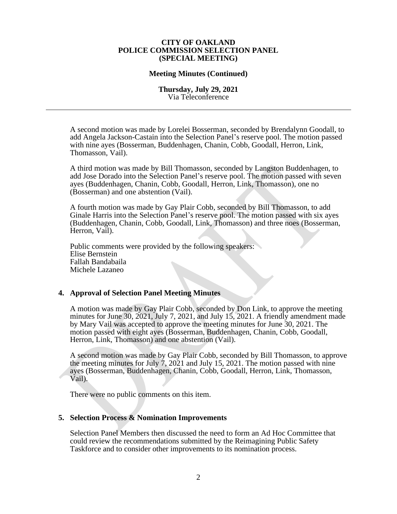#### **CITY OF OAKLAND POLICE COMMISSION SELECTION PANEL (SPECIAL MEETING)**

#### **Meeting Minutes (Continued)**

### **Thursday, July 29, 2021** Via Teleconference

A second motion was made by Lorelei Bosserman, seconded by Brendalynn Goodall, to add Angela Jackson-Castain into the Selection Panel's reserve pool. The motion passed with nine ayes (Bosserman, Buddenhagen, Chanin, Cobb, Goodall, Herron, Link, Thomasson, Vail).

A third motion was made by Bill Thomasson, seconded by Langston Buddenhagen, to add Jose Dorado into the Selection Panel's reserve pool. The motion passed with seven ayes (Buddenhagen, Chanin, Cobb, Goodall, Herron, Link, Thomasson), one no (Bosserman) and one abstention (Vail).

A fourth motion was made by Gay Plair Cobb, seconded by Bill Thomasson, to add Ginale Harris into the Selection Panel's reserve pool. The motion passed with six ayes (Buddenhagen, Chanin, Cobb, Goodall, Link, Thomasson) and three noes (Bosserman, Herron, Vail).

Public comments were provided by the following speakers: Elise Bernstein Fallah Bandabaila Michele Lazaneo

## **4. Approval of Selection Panel Meeting Minutes**

A motion was made by Gay Plair Cobb, seconded by Don Link, to approve the meeting minutes for June 30, 2021, July 7, 2021, and July 15, 2021. A friendly amendment made by Mary Vail was accepted to approve the meeting minutes for June 30, 2021. The motion passed with eight ayes (Bosserman, Buddenhagen, Chanin, Cobb, Goodall, Herron, Link, Thomasson) and one abstention (Vail).

A second motion was made by Gay Plair Cobb, seconded by Bill Thomasson, to approve the meeting minutes for July  $7, 2021$  and July 15, 2021. The motion passed with nine ayes (Bosserman, Buddenhagen, Chanin, Cobb, Goodall, Herron, Link, Thomasson, Vail).

There were no public comments on this item.

## **5. Selection Process & Nomination Improvements**

Selection Panel Members then discussed the need to form an Ad Hoc Committee that could review the recommendations submitted by the Reimagining Public Safety Taskforce and to consider other improvements to its nomination process.